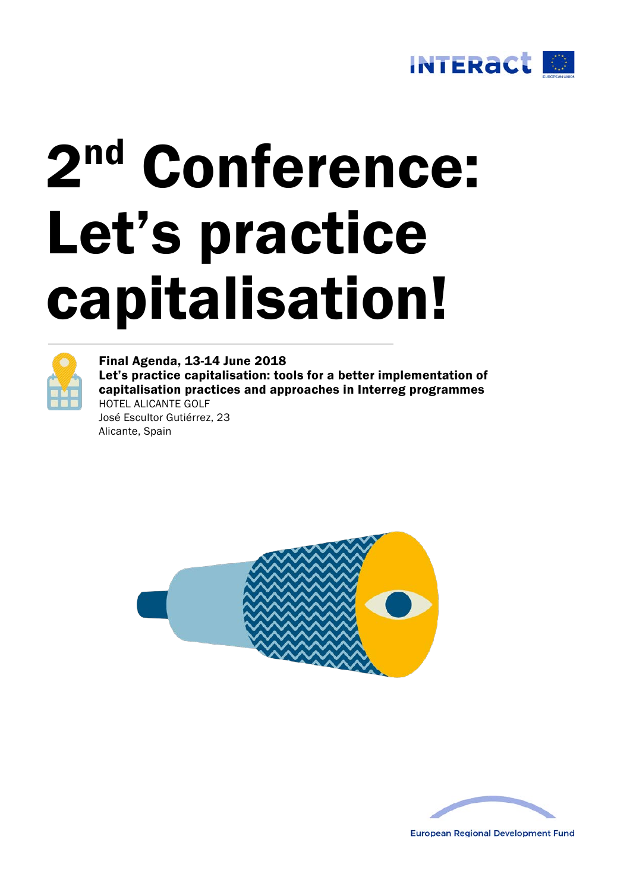

# 2nd Conference: Let's practice capitalisation!



Final Agenda, 13-14 June 2018 Let's practice capitalisation: tools for a better implementation of capitalisation practices and approaches in Interreg programmes HOTEL ALICANTE GOLF José Escultor Gutiérrez, 23 Alicante, Spain





**European Regional Development Fund**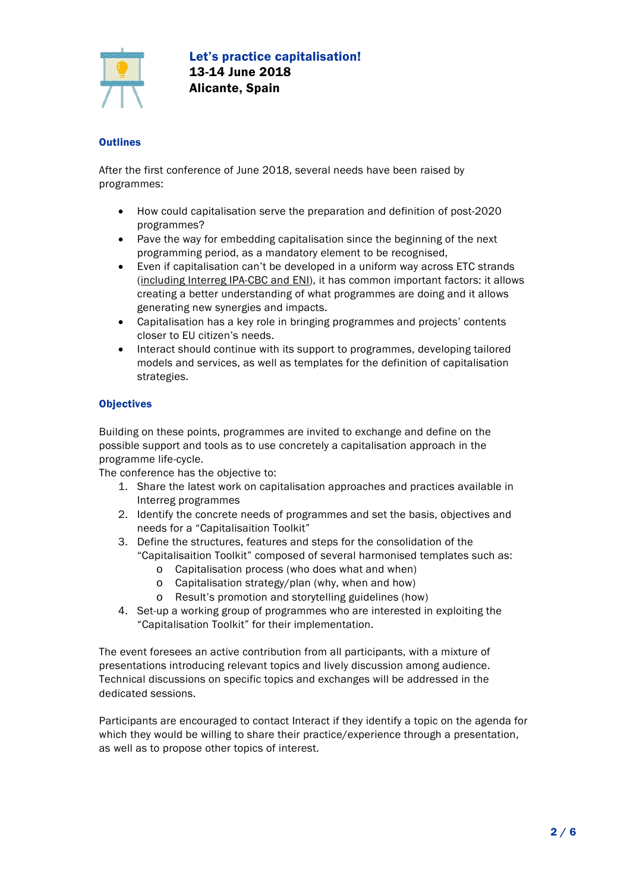

# **Outlines**

After the first conference of June 2018, several needs have been raised by programmes:

- How could capitalisation serve the preparation and definition of post-2020 programmes?
- Pave the way for embedding capitalisation since the beginning of the next programming period, as a mandatory element to be recognised,
- Even if capitalisation can't be developed in a uniform way across ETC strands (including Interreg IPA-CBC and ENI), it has common important factors: it allows creating a better understanding of what programmes are doing and it allows generating new synergies and impacts.
- Capitalisation has a key role in bringing programmes and projects' contents closer to EU citizen's needs.
- Interact should continue with its support to programmes, developing tailored models and services, as well as templates for the definition of capitalisation strategies.

# **Objectives**

Building on these points, programmes are invited to exchange and define on the possible support and tools as to use concretely a capitalisation approach in the programme life-cycle.

The conference has the objective to:

- 1. Share the latest work on capitalisation approaches and practices available in Interreg programmes
- 2. Identify the concrete needs of programmes and set the basis, objectives and needs for a "Capitalisaition Toolkit"
- 3. Define the structures, features and steps for the consolidation of the "Capitalisaition Toolkit" composed of several harmonised templates such as:
	- o Capitalisation process (who does what and when)
	- o Capitalisation strategy/plan (why, when and how)
	- o Result's promotion and storytelling guidelines (how)
- 4. Set-up a working group of programmes who are interested in exploiting the "Capitalisation Toolkit" for their implementation.

The event foresees an active contribution from all participants, with a mixture of presentations introducing relevant topics and lively discussion among audience. Technical discussions on specific topics and exchanges will be addressed in the dedicated sessions.

Participants are encouraged to contact Interact if they identify a topic on the agenda for which they would be willing to share their practice/experience through a presentation, as well as to propose other topics of interest.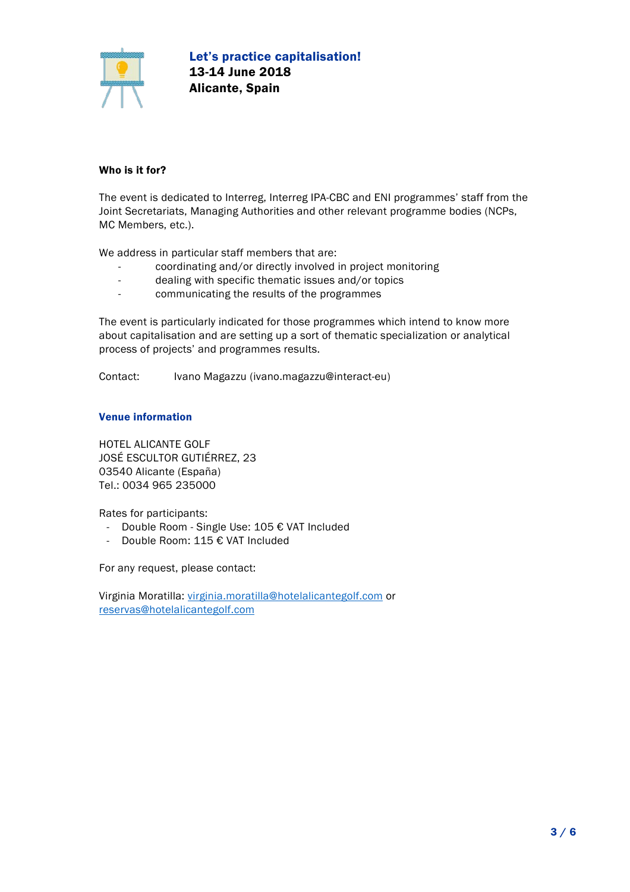

# Who is it for?

The event is dedicated to Interreg, Interreg IPA-CBC and ENI programmes' staff from the Joint Secretariats, Managing Authorities and other relevant programme bodies (NCPs, MC Members, etc.).

We address in particular staff members that are:

- coordinating and/or directly involved in project monitoring
- dealing with specific thematic issues and/or topics
- communicating the results of the programmes

The event is particularly indicated for those programmes which intend to know more about capitalisation and are setting up a sort of thematic specialization or analytical process of projects' and programmes results.

Contact: Ivano Magazzu (ivano.magazzu@interact-eu)

## Venue information

HOTEL ALICANTE GOLF JOSÉ ESCULTOR GUTIÉRREZ, 23 03540 Alicante (España) Tel.: 0034 965 235000

Rates for participants:

- Double Room Single Use: 105 € VAT Included
- Double Room: 115 € VAT Included

For any request, please contact:

Virginia Moratilla: [virginia.moratilla@hotelalicantegolf.com](mailto:virginia.moratilla@hotelalicantegolf.com) or [reservas@hotelalicantegolf.com](mailto:reservas@hotelalicantegolf.com)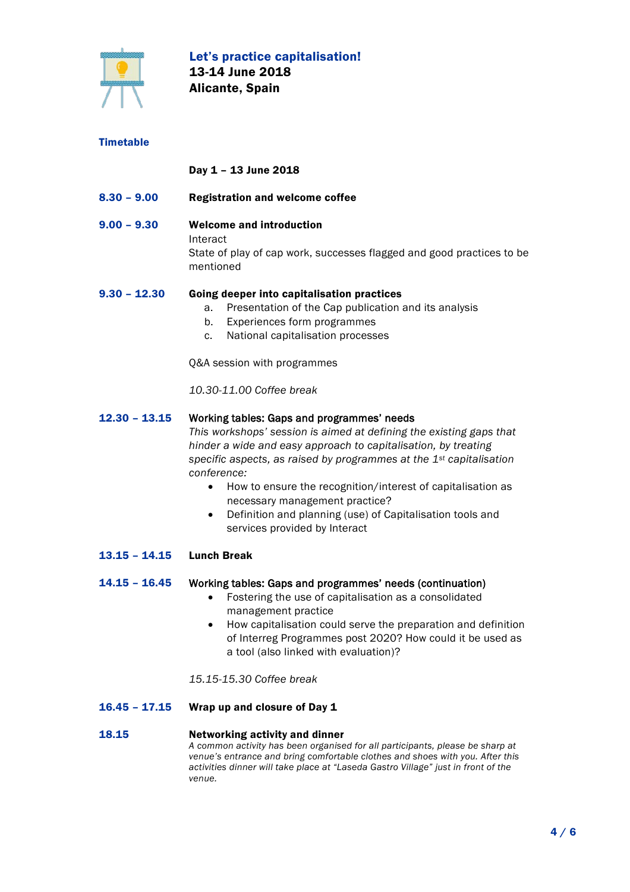

# **Timetable**

# Day 1 – 13 June 2018

- 8.30 9.00 Registration and welcome coffee
- 9.00 9.30 Welcome and introduction Interact State of play of cap work, successes flagged and good practices to be mentioned

#### 9.30 – 12.30 Going deeper into capitalisation practices

- a. Presentation of the Cap publication and its analysis
- b. Experiences form programmes
- c. National capitalisation processes

Q&A session with programmes

*10.30-11.00 Coffee break*

#### 12.30 – 13.15 Working tables: Gaps and programmes' needs

*This workshops' session is aimed at defining the existing gaps that hinder a wide and easy approach to capitalisation, by treating specific aspects, as raised by programmes at the 1st capitalisation conference:*

- How to ensure the recognition/interest of capitalisation as necessary management practice?
- Definition and planning (use) of Capitalisation tools and services provided by Interact
- 13.15 14.15 Lunch Break

#### 14.15 – 16.45 Working tables: Gaps and programmes' needs (continuation)

- Fostering the use of capitalisation as a consolidated management practice
- How capitalisation could serve the preparation and definition of Interreg Programmes post 2020? How could it be used as a tool (also linked with evaluation)?

*15.15-15.30 Coffee break*

16.45 – 17.15 Wrap up and closure of Day 1

#### 18.15 Networking activity and dinner *A common activity has been organised for all participants, please be sharp at venue's entrance and bring comfortable clothes and shoes with you. After this activities dinner will take place at "Laseda Gastro Village" just in front of the venue.*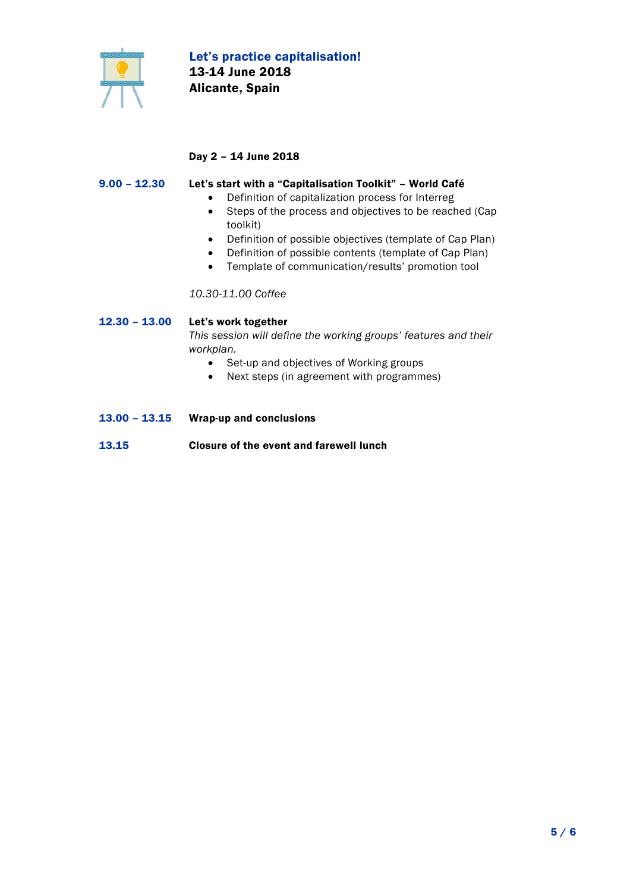

# Day 2 – 14 June 2018

#### $9.00 - 12.30$ Let's start with a "Capitalisation Toolkit" – World Café

- Definition of capitalization process for Interreg
- Steps of the process and objectives to be reached (Cap toolkit)
- Definition of possible objectives (template of Cap Plan)
- Definition of possible contents (template of Cap Plan)
- Template of communication/results' promotion tool

*10.30-11.00 Coffee*

12.30 – 13.00 Let's work together *This session will define the working groups' features and their workplan.* 

- Set-up and objectives of Working groups
- Next steps (in agreement with programmes)
- 13.00 13.15 13.15 Wrap-up and conclusions Closure of the event and farewell lunch